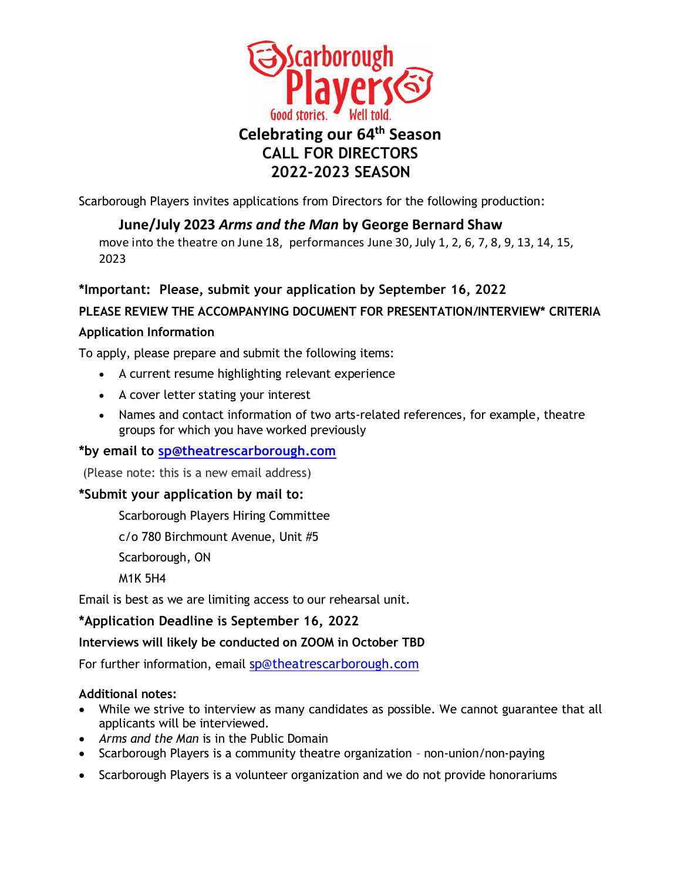

Scarborough Players invites applications from Directors for the following production:

## **June/July 2023** *Arms and the Man* **by George Bernard Shaw**

move into the theatre on June 18, performances June 30, July 1, 2, 6, 7, 8, 9, 13, 14, 15, 2023

## **\*Important: Please, submit your application by September 16, 2022**

## **PLEASE REVIEW THE ACCOMPANYING DOCUMENT FOR PRESENTATION/INTERVIEW\* CRITERIA**

#### **Application Information**

To apply, please prepare and submit the following items:

- A current resume highlighting relevant experience
- A cover letter stating your interest
- Names and contact information of two arts-related references, for example, theatre groups for which you have worked previously

## **\*by email to [sp@theatrescarborough.com](mailto:sp@theatrescarborough.com)**

(Please note: this is a new email address)

#### **\*Submit your application by mail to:**

Scarborough Players Hiring Committee

c/o 780 Birchmount Avenue, Unit #5

Scarborough, ON

M1K 5H4

Email is best as we are limiting access to our rehearsal unit.

## **\*Application Deadline is September 16, 2022**

#### **Interviews will likely be conducted on ZOOM in October TBD**

For further information, email [sp@theatrescarborough.com](mailto:sp@theatrescarborough.com)

#### **Additional notes:**

- While we strive to interview as many candidates as possible. We cannot guarantee that all applicants will be interviewed.
- *Arms and the Man* is in the Public Domain
- Scarborough Players is a community theatre organization non-union/non-paying
- Scarborough Players is a volunteer organization and we do not provide honorariums